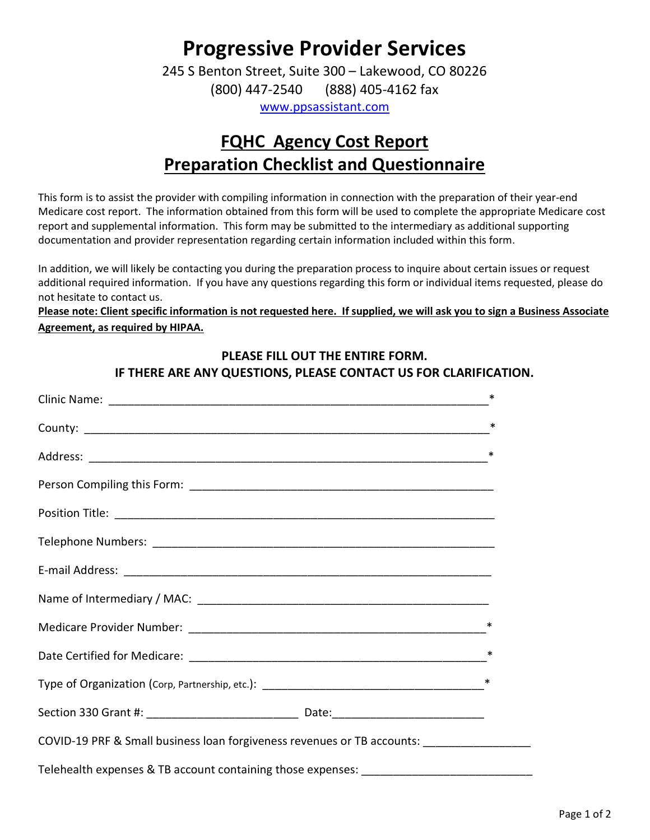# Progressive Provider Services

245 S Benton Street, Suite 300 – Lakewood, CO 80226 (800) 447-2540 (888) 405-4162 fax

www.ppsassistant.com

# FQHC Agency Cost Report Preparation Checklist and Questionnaire

This form is to assist the provider with compiling information in connection with the preparation of their year-end Medicare cost report. The information obtained from this form will be used to complete the appropriate Medicare cost report and supplemental information. This form may be submitted to the intermediary as additional supporting documentation and provider representation regarding certain information included within this form.

In addition, we will likely be contacting you during the preparation process to inquire about certain issues or request additional required information. If you have any questions regarding this form or individual items requested, please do not hesitate to contact us.

Please note: Client specific information is not requested here. If supplied, we will ask you to sign a Business Associate Agreement, as required by HIPAA.

#### PLEASE FILL OUT THE ENTIRE FORM.

IF THERE ARE ANY QUESTIONS, PLEASE CONTACT US FOR CLARIFICATION.

|                                                                                          | ∗      |
|------------------------------------------------------------------------------------------|--------|
|                                                                                          | ∗      |
|                                                                                          | ∗      |
|                                                                                          |        |
|                                                                                          |        |
|                                                                                          |        |
|                                                                                          |        |
|                                                                                          |        |
|                                                                                          | ∗      |
|                                                                                          | ∗      |
|                                                                                          | $\ast$ |
|                                                                                          |        |
| COVID-19 PRF & Small business loan forgiveness revenues or TB accounts: ________________ |        |
|                                                                                          |        |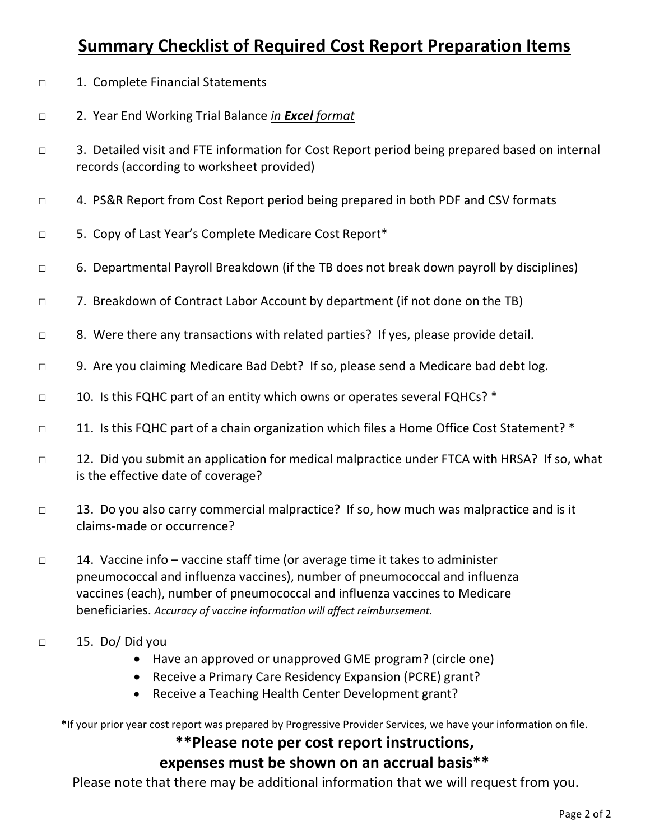## Summary Checklist of Required Cost Report Preparation Items

- □ 1. Complete Financial Statements
- □ 2. Year End Working Trial Balance in Excel format
- □ 3. Detailed visit and FTE information for Cost Report period being prepared based on internal records (according to worksheet provided)
- □ 4. PS&R Report from Cost Report period being prepared in both PDF and CSV formats
- □ 5. Copy of Last Year's Complete Medicare Cost Report\*
- □ 6. Departmental Payroll Breakdown (if the TB does not break down payroll by disciplines)
- □ 7. Breakdown of Contract Labor Account by department (if not done on the TB)
- □ 8. Were there any transactions with related parties? If yes, please provide detail.
- □ 9. Are you claiming Medicare Bad Debt? If so, please send a Medicare bad debt log.
- □ 10. Is this FQHC part of an entity which owns or operates several FQHCs? \*
- □ 11. Is this FQHC part of a chain organization which files a Home Office Cost Statement? \*
- □ 12. Did you submit an application for medical malpractice under FTCA with HRSA? If so, what is the effective date of coverage?
- □ 13. Do you also carry commercial malpractice? If so, how much was malpractice and is it claims-made or occurrence?
- □ 14. Vaccine info vaccine staff time (or average time it takes to administer pneumococcal and influenza vaccines), number of pneumococcal and influenza vaccines (each), number of pneumococcal and influenza vaccines to Medicare beneficiaries. Accuracy of vaccine information will affect reimbursement.
- □ 15. Do/ Did you
	- Have an approved or unapproved GME program? (circle one)
	- Receive a Primary Care Residency Expansion (PCRE) grant?
	- Receive a Teaching Health Center Development grant?

\*If your prior year cost report was prepared by Progressive Provider Services, we have your information on file.

### \*\*Please note per cost report instructions,

### expenses must be shown on an accrual basis\*\*

Please note that there may be additional information that we will request from you.